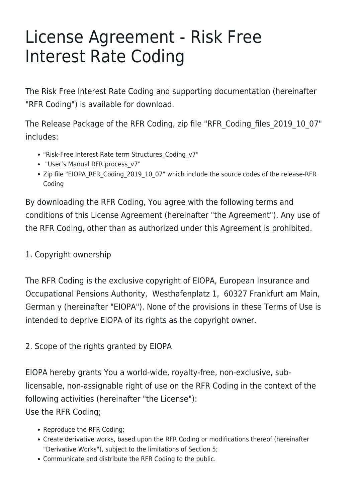# License Agreement - Risk Free Interest Rate Coding

The Risk Free Interest Rate Coding and supporting documentation (hereinafter "RFR Coding") is available for download.

The Release Package of the RFR Coding, zip file "RFR\_Coding\_files\_2019\_10\_07" includes:

- "Risk-Free Interest Rate term Structures\_Coding\_v7"
- "User's Manual RFR process\_v7"
- Zip file "EIOPA\_RFR\_Coding\_2019\_10\_07" which include the source codes of the release-RFR Coding

By downloading the RFR Coding, You agree with the following terms and conditions of this License Agreement (hereinafter "the Agreement"). Any use of the RFR Coding, other than as authorized under this Agreement is prohibited.

1. Copyright ownership

The RFR Coding is the exclusive copyright of EIOPA, European Insurance and Occupational Pensions Authority, Westhafenplatz 1, 60327 Frankfurt am Main, German y (hereinafter "EIOPA"). None of the provisions in these Terms of Use is intended to deprive EIOPA of its rights as the copyright owner.

2. Scope of the rights granted by EIOPA

EIOPA hereby grants You a world-wide, royalty-free, non-exclusive, sublicensable, non-assignable right of use on the RFR Coding in the context of the following activities (hereinafter "the License"): Use the RFR Coding;

- Reproduce the RFR Coding;
- Create derivative works, based upon the RFR Coding or modifications thereof (hereinafter "Derivative Works"), subject to the limitations of Section 5;
- Communicate and distribute the RFR Coding to the public.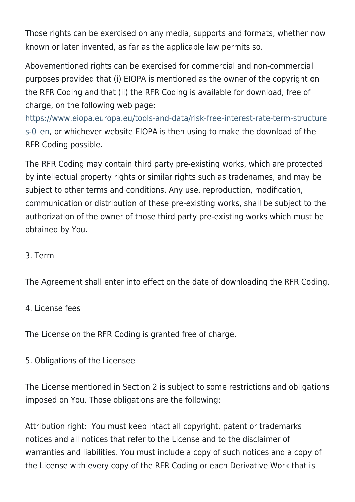Those rights can be exercised on any media, supports and formats, whether now known or later invented, as far as the applicable law permits so.

Abovementioned rights can be exercised for commercial and non-commercial purposes provided that (i) EIOPA is mentioned as the owner of the copyright on the RFR Coding and that (ii) the RFR Coding is available for download, free of charge, on the following web page:

[https://www.eiopa.europa.eu/tools-and-data/risk-free-interest-rate-term-structure](https://www.eiopa.europa.eu/tools-and-data/risk-free-interest-rate-term-structures-0_en) s-0 en, or whichever website EIOPA is then using to make the download of the RFR Coding possible.

The RFR Coding may contain third party pre-existing works, which are protected by intellectual property rights or similar rights such as tradenames, and may be subject to other terms and conditions. Any use, reproduction, modification, communication or distribution of these pre-existing works, shall be subject to the authorization of the owner of those third party pre-existing works which must be obtained by You.

#### 3. Term

The Agreement shall enter into effect on the date of downloading the RFR Coding.

#### 4. License fees

The License on the RFR Coding is granted free of charge.

#### 5. Obligations of the Licensee

The License mentioned in Section 2 is subject to some restrictions and obligations imposed on You. Those obligations are the following:

Attribution right: You must keep intact all copyright, patent or trademarks notices and all notices that refer to the License and to the disclaimer of warranties and liabilities. You must include a copy of such notices and a copy of the License with every copy of the RFR Coding or each Derivative Work that is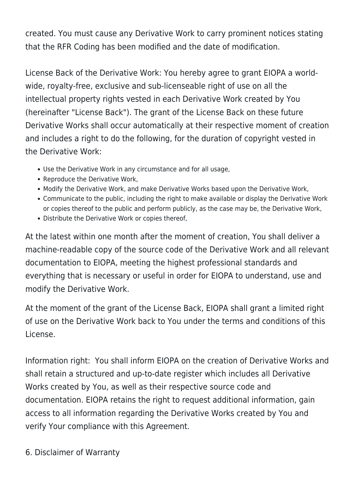created. You must cause any Derivative Work to carry prominent notices stating that the RFR Coding has been modified and the date of modification.

License Back of the Derivative Work: You hereby agree to grant EIOPA a worldwide, royalty-free, exclusive and sub-licenseable right of use on all the intellectual property rights vested in each Derivative Work created by You (hereinafter "License Back"). The grant of the License Back on these future Derivative Works shall occur automatically at their respective moment of creation and includes a right to do the following, for the duration of copyright vested in the Derivative Work:

- Use the Derivative Work in any circumstance and for all usage,
- Reproduce the Derivative Work,
- Modify the Derivative Work, and make Derivative Works based upon the Derivative Work,
- Communicate to the public, including the right to make available or display the Derivative Work or copies thereof to the public and perform publicly, as the case may be, the Derivative Work,
- Distribute the Derivative Work or copies thereof,

At the latest within one month after the moment of creation, You shall deliver a machine-readable copy of the source code of the Derivative Work and all relevant documentation to EIOPA, meeting the highest professional standards and everything that is necessary or useful in order for EIOPA to understand, use and modify the Derivative Work.

At the moment of the grant of the License Back, EIOPA shall grant a limited right of use on the Derivative Work back to You under the terms and conditions of this License.

Information right: You shall inform EIOPA on the creation of Derivative Works and shall retain a structured and up-to-date register which includes all Derivative Works created by You, as well as their respective source code and documentation. EIOPA retains the right to request additional information, gain access to all information regarding the Derivative Works created by You and verify Your compliance with this Agreement.

6. Disclaimer of Warranty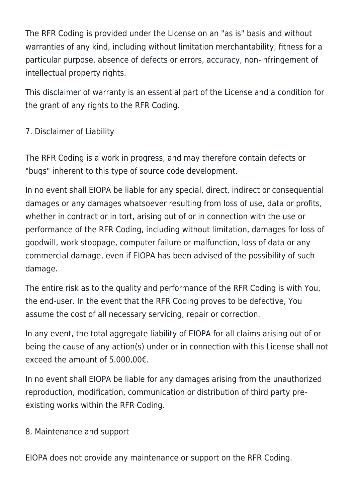The RFR Coding is provided under the License on an "as is" basis and without warranties of any kind, including without limitation merchantability, fitness for a particular purpose, absence of defects or errors, accuracy, non-infringement of intellectual property rights.

This disclaimer of warranty is an essential part of the License and a condition for the grant of any rights to the RFR Coding.

# 7. Disclaimer of Liability

The RFR Coding is a work in progress, and may therefore contain defects or "bugs" inherent to this type of source code development.

In no event shall EIOPA be liable for any special, direct, indirect or consequential damages or any damages whatsoever resulting from loss of use, data or profits, whether in contract or in tort, arising out of or in connection with the use or performance of the RFR Coding, including without limitation, damages for loss of goodwill, work stoppage, computer failure or malfunction, loss of data or any commercial damage, even if EIOPA has been advised of the possibility of such damage.

The entire risk as to the quality and performance of the RFR Coding is with You, the end-user. In the event that the RFR Coding proves to be defective, You assume the cost of all necessary servicing, repair or correction.

In any event, the total aggregate liability of EIOPA for all claims arising out of or being the cause of any action(s) under or in connection with this License shall not exceed the amount of 5.000,00€.

In no event shall EIOPA be liable for any damages arising from the unauthorized reproduction, modification, communication or distribution of third party preexisting works within the RFR Coding.

#### 8. Maintenance and support

EIOPA does not provide any maintenance or support on the RFR Coding.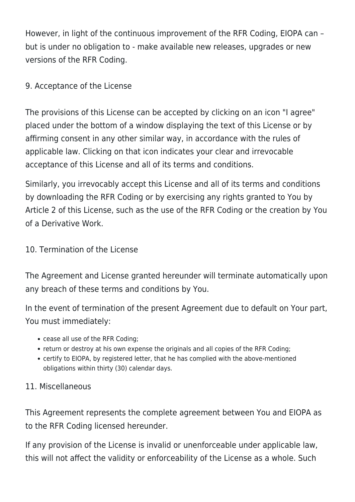However, in light of the continuous improvement of the RFR Coding, EIOPA can – but is under no obligation to - make available new releases, upgrades or new versions of the RFR Coding.

### 9. Acceptance of the License

The provisions of this License can be accepted by clicking on an icon "I agree" placed under the bottom of a window displaying the text of this License or by affirming consent in any other similar way, in accordance with the rules of applicable law. Clicking on that icon indicates your clear and irrevocable acceptance of this License and all of its terms and conditions.

Similarly, you irrevocably accept this License and all of its terms and conditions by downloading the RFR Coding or by exercising any rights granted to You by Article 2 of this License, such as the use of the RFR Coding or the creation by You of a Derivative Work.

## 10. Termination of the License

The Agreement and License granted hereunder will terminate automatically upon any breach of these terms and conditions by You.

In the event of termination of the present Agreement due to default on Your part, You must immediately:

- cease all use of the RFR Coding;
- return or destroy at his own expense the originals and all copies of the RFR Coding;
- certify to EIOPA, by registered letter, that he has complied with the above-mentioned obligations within thirty (30) calendar days.

# 11. Miscellaneous

This Agreement represents the complete agreement between You and EIOPA as to the RFR Coding licensed hereunder.

If any provision of the License is invalid or unenforceable under applicable law, this will not affect the validity or enforceability of the License as a whole. Such